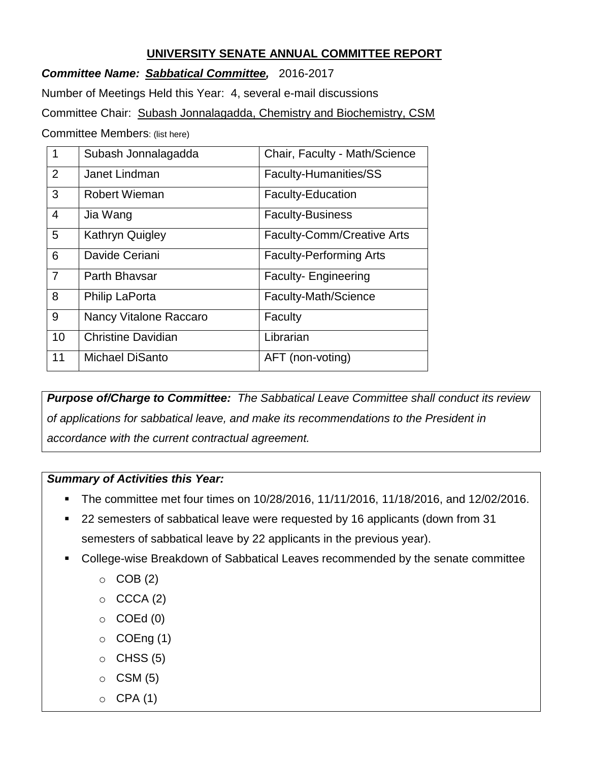## **UNIVERSITY SENATE ANNUAL COMMITTEE REPORT**

*Committee Name: Sabbatical Committee,* 2016-2017

Number of Meetings Held this Year: 4, several e-mail discussions

Committee Chair: Subash Jonnalagadda, Chemistry and Biochemistry, CSM

Committee Members: (list here)

| 1              | Subash Jonnalagadda           | Chair, Faculty - Math/Science     |
|----------------|-------------------------------|-----------------------------------|
| 2              | Janet Lindman                 | Faculty-Humanities/SS             |
| 3              | <b>Robert Wieman</b>          | <b>Faculty-Education</b>          |
| $\overline{4}$ | Jia Wang                      | <b>Faculty-Business</b>           |
| 5              | <b>Kathryn Quigley</b>        | <b>Faculty-Comm/Creative Arts</b> |
| 6              | Davide Ceriani                | <b>Faculty-Performing Arts</b>    |
| $\overline{7}$ | Parth Bhaysar                 | <b>Faculty-Engineering</b>        |
| 8              | <b>Philip LaPorta</b>         | Faculty-Math/Science              |
| 9              | <b>Nancy Vitalone Raccaro</b> | Faculty                           |
| 10             | <b>Christine Davidian</b>     | Librarian                         |
| 11             | <b>Michael DiSanto</b>        | AFT (non-voting)                  |

*Purpose of/Charge to Committee: The Sabbatical Leave Committee shall conduct its review of applications for sabbatical leave, and make its recommendations to the President in accordance with the current contractual agreement.*

## *Summary of Activities this Year:*

- The committee met four times on 10/28/2016, 11/11/2016, 11/18/2016, and 12/02/2016.
- 22 semesters of sabbatical leave were requested by 16 applicants (down from 31 semesters of sabbatical leave by 22 applicants in the previous year).
- College-wise Breakdown of Sabbatical Leaves recommended by the senate committee
	- $\circ$  COB (2)
	- $\circ$  CCCA (2)
	- $\circ$  COEd (0)
	- $\circ$  COEng (1)
	- $\circ$  CHSS (5)
	- $\circ$  CSM (5)
	- $O$  CPA (1)